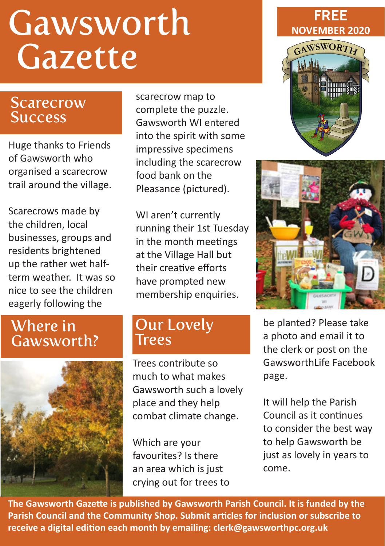# Gawsworth **Gazette**

#### **Scarecrow Success**

Huge thanks to Friends of Gawsworth who organised a scarecrow trail around the village.

Scarecrows made by the children, local businesses, groups and residents brightened up the rather wet halfterm weather. It was so nice to see the children eagerly following the

scarecrow map to complete the puzzle. Gawsworth WI entered into the spirit with some impressive specimens including the scarecrow food bank on the Pleasance (pictured).

WI aren't currently running their 1st Tuesday in the month meetings at the Village Hall but their creative efforts have prompted new membership enquiries.

# Where in Gawsworth?



#### Our Lovely Trees

Trees contribute so much to what makes Gawsworth such a lovely place and they help combat climate change.

Which are your favourites? Is there an area which is just crying out for trees to







be planted? Please take a photo and email it to the clerk or post on the GawsworthLife Facebook page.

It will help the Parish Council as it continues to consider the best way to help Gawsworth be just as lovely in years to come.

**The Gawsworth Gazette is published by Gawsworth Parish Council. It is funded by the Parish Council and the Community Shop. Submit articles for inclusion or subscribe to receive a digital edition each month by emailing: clerk@gawsworthpc.org.uk**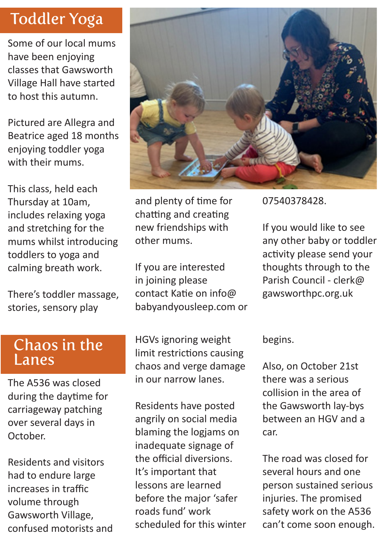# Toddler Yoga

Some of our local mums have been enjoying classes that Gawsworth Village Hall have started to host this autumn.

Pictured are Allegra and Beatrice aged 18 months enjoying toddler yoga with their mums.

This class, held each Thursday at 10am, includes relaxing yoga and stretching for the mums whilst introducing toddlers to yoga and calming breath work.

There's toddler massage, stories, sensory play



and plenty of time for chatting and creating new friendships with other mums.

If you are interested in joining please contact Katie on info@ babyandyousleep.com or 07540378428.

If you would like to see any other baby or toddler activity please send your thoughts through to the Parish Council - clerk@ gawsworthpc.org.uk

#### Chaos in the Lanes

The A536 was closed during the daytime for carriageway patching over several days in October.

Residents and visitors had to endure large increases in traffic volume through Gawsworth Village, confused motorists and HGVs ignoring weight limit restrictions causing chaos and verge damage in our narrow lanes.

Residents have posted angrily on social media blaming the logjams on inadequate signage of the official diversions. It's important that lessons are learned before the major 'safer roads fund' work scheduled for this winter begins.

Also, on October 21st there was a serious collision in the area of the Gawsworth lay-bys between an HGV and a car.

The road was closed for several hours and one person sustained serious injuries. The promised safety work on the A536 can't come soon enough.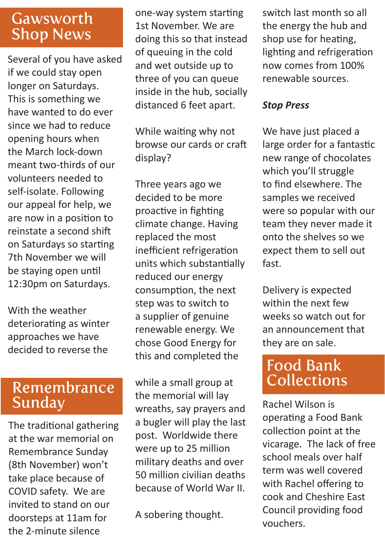### **Gawsworth** Shop News

Several of you have asked if we could stay open longer on Saturdays. This is something we have wanted to do ever since we had to reduce opening hours when the March lock-down meant two-thirds of our volunteers needed to self-isolate. Following our appeal for help, we are now in a position to reinstate a second shift on Saturdays so starting 7th November we will be staying open until 12:30pm on Saturdays.

With the weather deteriorating as winter approaches we have decided to reverse the

#### Remembrance Sunday

The traditional gathering at the war memorial on Remembrance Sunday (8th November) won't take place because of COVID safety. We are invited to stand on our doorsteps at 11am for the 2-minute silence

one-way system starting 1st November. We are doing this so that instead of queuing in the cold and wet outside up to three of you can queue inside in the hub, socially distanced 6 feet apart.

While waiting why not browse our cards or craft display?

Three years ago we decided to be more proactive in fighting climate change. Having replaced the most inefficient refrigeration units which substantially reduced our energy consumption, the next step was to switch to a supplier of genuine renewable energy. We chose Good Energy for this and completed the

while a small group at the memorial will lay wreaths, say prayers and a bugler will play the last post. Worldwide there were up to 25 million military deaths and over 50 million civilian deaths because of World War II.

A sobering thought.

switch last month so all the energy the hub and shop use for heating, lighting and refrigeration now comes from 100% renewable sources.

#### *Stop Press*

We have just placed a large order for a fantastic new range of chocolates which you'll struggle to find elsewhere. The samples we received were so popular with our team they never made it onto the shelves so we expect them to sell out fast.

Delivery is expected within the next few weeks so watch out for an announcement that they are on sale.

# Food Bank Collections

Rachel Wilson is operating a Food Bank collection point at the vicarage. The lack of free school meals over half term was well covered with Rachel offering to cook and Cheshire East Council providing food vouchers.